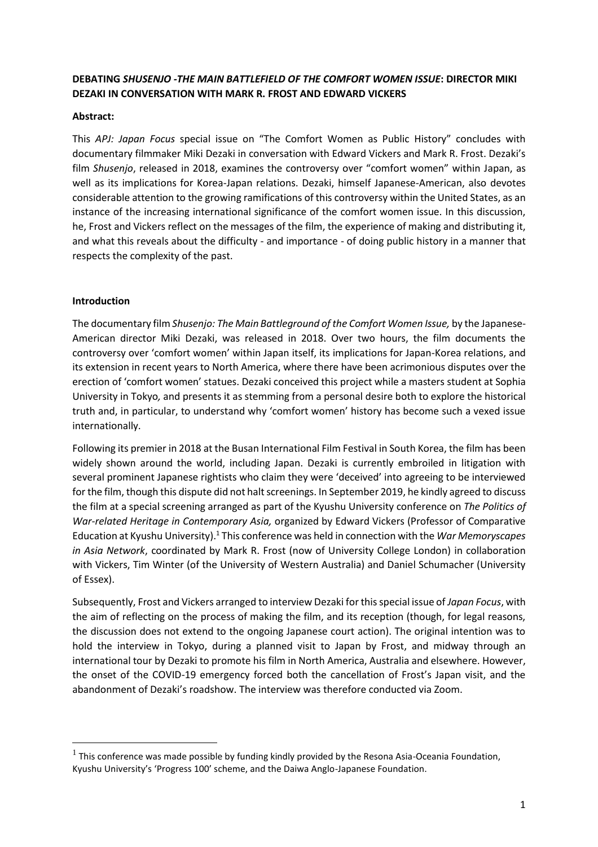# **DEBATING** *SHUSENJO -THE MAIN BATTLEFIELD OF THE COMFORT WOMEN ISSUE***: DIRECTOR MIKI DEZAKI IN CONVERSATION WITH MARK R. FROST AND EDWARD VICKERS**

#### **Abstract:**

This *APJ: Japan Focus* special issue on "The Comfort Women as Public History" concludes with documentary filmmaker Miki Dezaki in conversation with Edward Vickers and Mark R. Frost. Dezaki's film *Shusenjo*, released in 2018, examines the controversy over "comfort women" within Japan, as well as its implications for Korea-Japan relations. Dezaki, himself Japanese-American, also devotes considerable attention to the growing ramifications of this controversy within the United States, as an instance of the increasing international significance of the comfort women issue. In this discussion, he, Frost and Vickers reflect on the messages of the film, the experience of making and distributing it, and what this reveals about the difficulty - and importance - of doing public history in a manner that respects the complexity of the past.

#### **Introduction**

The documentary film *Shusenjo: The Main Battleground of the Comfort Women Issue,* by the Japanese-American director Miki Dezaki, was released in 2018. Over two hours, the film documents the controversy over 'comfort women' within Japan itself, its implications for Japan-Korea relations, and its extension in recent years to North America, where there have been acrimonious disputes over the erection of 'comfort women' statues. Dezaki conceived this project while a masters student at Sophia University in Tokyo*,* and presents it as stemming from a personal desire both to explore the historical truth and, in particular, to understand why 'comfort women' history has become such a vexed issue internationally.

Following its premier in 2018 at the Busan International Film Festival in South Korea, the film has been widely shown around the world, including Japan. Dezaki is currently embroiled in litigation with several prominent Japanese rightists who claim they were 'deceived' into agreeing to be interviewed for the film, though this dispute did not halt screenings. In September 2019, he kindly agreed to discuss the film at a special screening arranged as part of the Kyushu University conference on *The Politics of War-related Heritage in Contemporary Asia,* organized by Edward Vickers (Professor of Comparative Education at Kyushu University).<sup>1</sup> This conference was held in connection with the *War Memoryscapes in Asia Network*, coordinated by Mark R. Frost (now of University College London) in collaboration with Vickers, Tim Winter (of the University of Western Australia) and Daniel Schumacher (University of Essex).

Subsequently, Frost and Vickers arranged to interview Dezaki for this special issue of *Japan Focus*, with the aim of reflecting on the process of making the film, and its reception (though, for legal reasons, the discussion does not extend to the ongoing Japanese court action). The original intention was to hold the interview in Tokyo, during a planned visit to Japan by Frost, and midway through an international tour by Dezaki to promote his film in North America, Australia and elsewhere. However, the onset of the COVID-19 emergency forced both the cancellation of Frost's Japan visit, and the abandonment of Dezaki's roadshow. The interview was therefore conducted via Zoom.

 $<sup>1</sup>$  This conference was made possible by funding kindly provided by the Resona Asia-Oceania Foundation,</sup> Kyushu University's 'Progress 100' scheme, and the Daiwa Anglo-Japanese Foundation.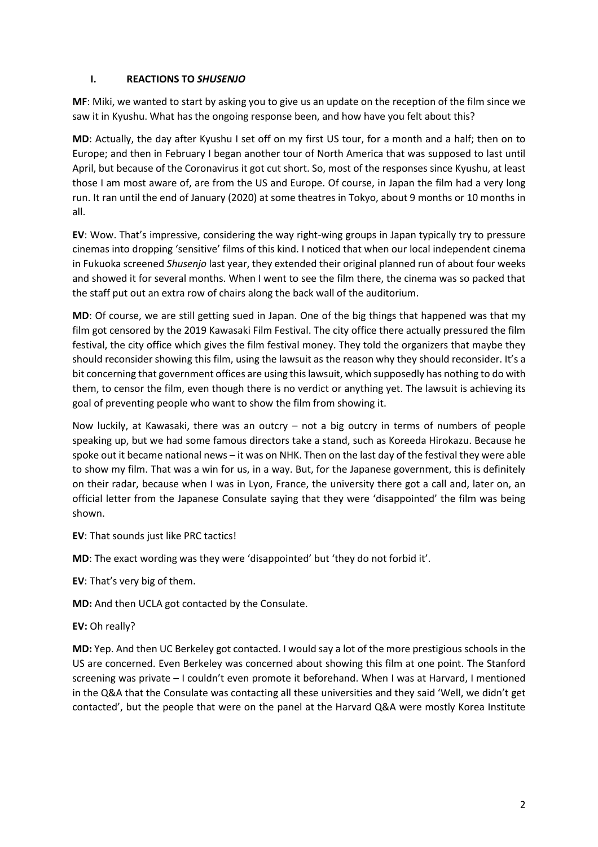# **I. REACTIONS TO** *SHUSENJO*

**MF**: Miki, we wanted to start by asking you to give us an update on the reception of the film since we saw it in Kyushu. What has the ongoing response been, and how have you felt about this?

**MD**: Actually, the day after Kyushu I set off on my first US tour, for a month and a half; then on to Europe; and then in February I began another tour of North America that was supposed to last until April, but because of the Coronavirus it got cut short. So, most of the responses since Kyushu, at least those I am most aware of, are from the US and Europe. Of course, in Japan the film had a very long run. It ran until the end of January (2020) at some theatres in Tokyo, about 9 months or 10 months in all.

**EV**: Wow. That's impressive, considering the way right-wing groups in Japan typically try to pressure cinemas into dropping 'sensitive' films of this kind. I noticed that when our local independent cinema in Fukuoka screened *Shusenjo* last year, they extended their original planned run of about four weeks and showed it for several months. When I went to see the film there, the cinema was so packed that the staff put out an extra row of chairs along the back wall of the auditorium.

**MD**: Of course, we are still getting sued in Japan. One of the big things that happened was that my film got censored by the 2019 Kawasaki Film Festival. The city office there actually pressured the film festival, the city office which gives the film festival money. They told the organizers that maybe they should reconsider showing this film, using the lawsuit as the reason why they should reconsider. It's a bit concerning that government offices are using this lawsuit, which supposedly has nothing to do with them, to censor the film, even though there is no verdict or anything yet. The lawsuit is achieving its goal of preventing people who want to show the film from showing it.

Now luckily, at Kawasaki, there was an outcry – not a big outcry in terms of numbers of people speaking up, but we had some famous directors take a stand, such as Koreeda Hirokazu. Because he spoke out it became national news – it was on NHK. Then on the last day of the festival they were able to show my film. That was a win for us, in a way. But, for the Japanese government, this is definitely on their radar, because when I was in Lyon, France, the university there got a call and, later on, an official letter from the Japanese Consulate saying that they were 'disappointed' the film was being shown.

**EV**: That sounds just like PRC tactics!

**MD**: The exact wording was they were 'disappointed' but 'they do not forbid it'.

**EV**: That's very big of them.

**MD:** And then UCLA got contacted by the Consulate.

**EV:** Oh really?

**MD:** Yep. And then UC Berkeley got contacted. I would say a lot of the more prestigious schools in the US are concerned. Even Berkeley was concerned about showing this film at one point. The Stanford screening was private – I couldn't even promote it beforehand. When I was at Harvard, I mentioned in the Q&A that the Consulate was contacting all these universities and they said 'Well, we didn't get contacted', but the people that were on the panel at the Harvard Q&A were mostly Korea Institute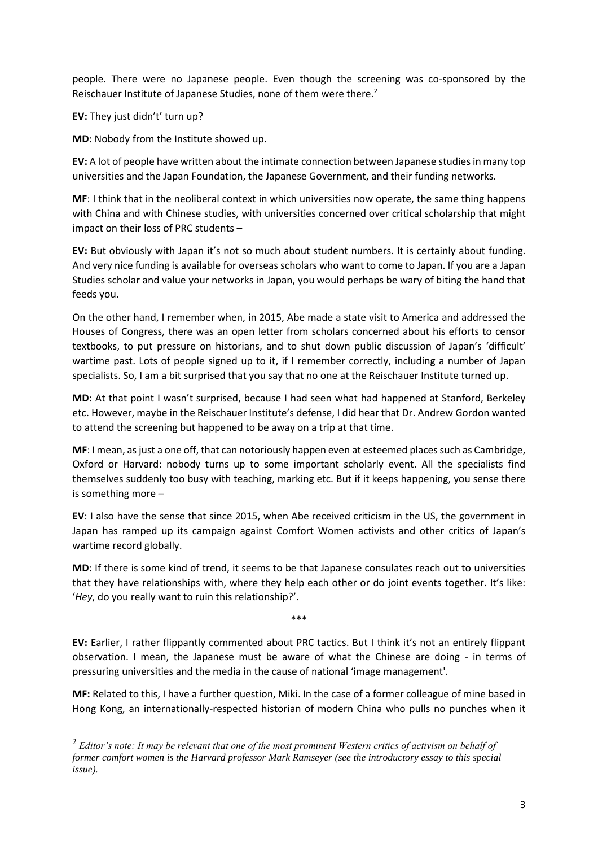people. There were no Japanese people. Even though the screening was co-sponsored by the Reischauer Institute of Japanese Studies, none of them were there.<sup>2</sup>

**EV:** They just didn't' turn up?

**MD**: Nobody from the Institute showed up.

**EV:** A lot of people have written about the intimate connection between Japanese studies in many top universities and the Japan Foundation, the Japanese Government, and their funding networks.

**MF**: I think that in the neoliberal context in which universities now operate, the same thing happens with China and with Chinese studies, with universities concerned over critical scholarship that might impact on their loss of PRC students –

**EV:** But obviously with Japan it's not so much about student numbers. It is certainly about funding. And very nice funding is available for overseas scholars who want to come to Japan. If you are a Japan Studies scholar and value your networks in Japan, you would perhaps be wary of biting the hand that feeds you.

On the other hand, I remember when, in 2015, Abe made a state visit to America and addressed the Houses of Congress, there was an open letter from scholars concerned about his efforts to censor textbooks, to put pressure on historians, and to shut down public discussion of Japan's 'difficult' wartime past. Lots of people signed up to it, if I remember correctly, including a number of Japan specialists. So, I am a bit surprised that you say that no one at the Reischauer Institute turned up.

**MD**: At that point I wasn't surprised, because I had seen what had happened at Stanford, Berkeley etc. However, maybe in the Reischauer Institute's defense, I did hear that Dr. Andrew Gordon wanted to attend the screening but happened to be away on a trip at that time.

**MF**: I mean, as just a one off, that can notoriously happen even at esteemed places such as Cambridge, Oxford or Harvard: nobody turns up to some important scholarly event. All the specialists find themselves suddenly too busy with teaching, marking etc. But if it keeps happening, you sense there is something more –

**EV**: I also have the sense that since 2015, when Abe received criticism in the US, the government in Japan has ramped up its campaign against Comfort Women activists and other critics of Japan's wartime record globally.

**MD**: If there is some kind of trend, it seems to be that Japanese consulates reach out to universities that they have relationships with, where they help each other or do joint events together. It's like: '*Hey*, do you really want to ruin this relationship?'.

\*\*\*

**EV:** Earlier, I rather flippantly commented about PRC tactics. But I think it's not an entirely flippant observation. I mean, the Japanese must be aware of what the Chinese are doing - in terms of pressuring universities and the media in the cause of national 'image management'.

**MF:** Related to this, I have a further question, Miki. In the case of a former colleague of mine based in Hong Kong, an internationally-respected historian of modern China who pulls no punches when it

<sup>2</sup> *Editor's note: It may be relevant that one of the most prominent Western critics of activism on behalf of former comfort women is the Harvard professor Mark Ramseyer (see the introductory essay to this special issue).*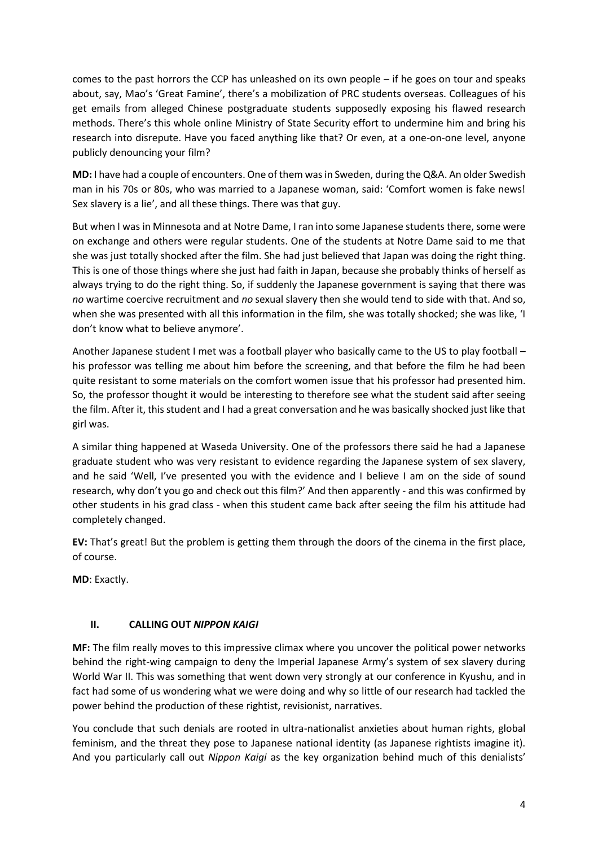comes to the past horrors the CCP has unleashed on its own people – if he goes on tour and speaks about, say, Mao's 'Great Famine', there's a mobilization of PRC students overseas. Colleagues of his get emails from alleged Chinese postgraduate students supposedly exposing his flawed research methods. There's this whole online Ministry of State Security effort to undermine him and bring his research into disrepute. Have you faced anything like that? Or even, at a one-on-one level, anyone publicly denouncing your film?

**MD:** I have had a couple of encounters. One of them was in Sweden, during the Q&A. An older Swedish man in his 70s or 80s, who was married to a Japanese woman, said: 'Comfort women is fake news! Sex slavery is a lie', and all these things. There was that guy.

But when I was in Minnesota and at Notre Dame, I ran into some Japanese students there, some were on exchange and others were regular students. One of the students at Notre Dame said to me that she was just totally shocked after the film. She had just believed that Japan was doing the right thing. This is one of those things where she just had faith in Japan, because she probably thinks of herself as always trying to do the right thing. So, if suddenly the Japanese government is saying that there was *no* wartime coercive recruitment and *no* sexual slavery then she would tend to side with that. And so, when she was presented with all this information in the film, she was totally shocked; she was like, 'I don't know what to believe anymore'.

Another Japanese student I met was a football player who basically came to the US to play football – his professor was telling me about him before the screening, and that before the film he had been quite resistant to some materials on the comfort women issue that his professor had presented him. So, the professor thought it would be interesting to therefore see what the student said after seeing the film. After it, this student and I had a great conversation and he was basically shocked just like that girl was.

A similar thing happened at Waseda University. One of the professors there said he had a Japanese graduate student who was very resistant to evidence regarding the Japanese system of sex slavery, and he said 'Well, I've presented you with the evidence and I believe I am on the side of sound research, why don't you go and check out this film?' And then apparently - and this was confirmed by other students in his grad class - when this student came back after seeing the film his attitude had completely changed.

**EV:** That's great! But the problem is getting them through the doors of the cinema in the first place, of course.

**MD**: Exactly.

# **II. CALLING OUT** *NIPPON KAIGI*

**MF:** The film really moves to this impressive climax where you uncover the political power networks behind the right-wing campaign to deny the Imperial Japanese Army's system of sex slavery during World War II. This was something that went down very strongly at our conference in Kyushu, and in fact had some of us wondering what we were doing and why so little of our research had tackled the power behind the production of these rightist, revisionist, narratives.

You conclude that such denials are rooted in ultra-nationalist anxieties about human rights, global feminism, and the threat they pose to Japanese national identity (as Japanese rightists imagine it). And you particularly call out *Nippon Kaigi* as the key organization behind much of this denialists'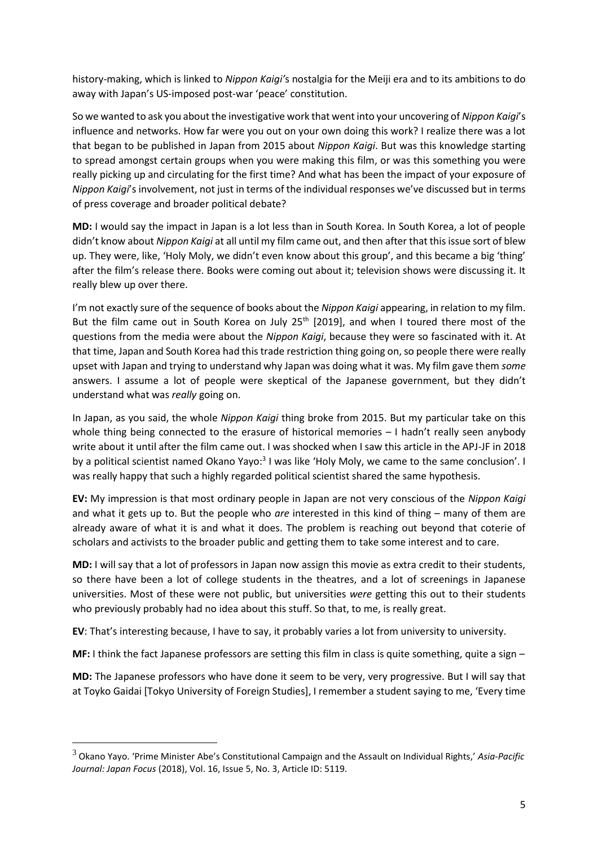history-making, which is linked to *Nippon Kaigi'*s nostalgia for the Meiji era and to its ambitions to do away with Japan's US-imposed post-war 'peace' constitution.

So we wanted to ask you about the investigative work that went into your uncovering of *Nippon Kaigi*'s influence and networks. How far were you out on your own doing this work? I realize there was a lot that began to be published in Japan from 2015 about *Nippon Kaigi*. But was this knowledge starting to spread amongst certain groups when you were making this film, or was this something you were really picking up and circulating for the first time? And what has been the impact of your exposure of *Nippon Kaigi*'s involvement, not just in terms of the individual responses we've discussed but in terms of press coverage and broader political debate?

**MD:** I would say the impact in Japan is a lot less than in South Korea. In South Korea, a lot of people didn't know about *Nippon Kaigi* at all until my film came out, and then after that this issue sort of blew up. They were, like, 'Holy Moly, we didn't even know about this group', and this became a big 'thing' after the film's release there. Books were coming out about it; television shows were discussing it. It really blew up over there.

I'm not exactly sure of the sequence of books about the *Nippon Kaigi* appearing, in relation to my film. But the film came out in South Korea on July  $25<sup>th</sup>$  [2019], and when I toured there most of the questions from the media were about the *Nippon Kaigi*, because they were so fascinated with it. At that time, Japan and South Korea had this trade restriction thing going on, so people there were really upset with Japan and trying to understand why Japan was doing what it was. My film gave them *some* answers. I assume a lot of people were skeptical of the Japanese government, but they didn't understand what was *really* going on.

In Japan, as you said, the whole *Nippon Kaigi* thing broke from 2015. But my particular take on this whole thing being connected to the erasure of historical memories  $-1$  hadn't really seen anybody write about it until after the film came out. I was shocked when I saw this article in the APJ-JF in 2018 by a political scientist named Okano Yayo:<sup>3</sup> I was like 'Holy Moly, we came to the same conclusion'. I was really happy that such a highly regarded political scientist shared the same hypothesis.

**EV:** My impression is that most ordinary people in Japan are not very conscious of the *Nippon Kaigi* and what it gets up to. But the people who *are* interested in this kind of thing – many of them are already aware of what it is and what it does. The problem is reaching out beyond that coterie of scholars and activists to the broader public and getting them to take some interest and to care.

**MD:** I will say that a lot of professors in Japan now assign this movie as extra credit to their students, so there have been a lot of college students in the theatres, and a lot of screenings in Japanese universities. Most of these were not public, but universities *were* getting this out to their students who previously probably had no idea about this stuff. So that, to me, is really great.

**EV**: That's interesting because, I have to say, it probably varies a lot from university to university.

**MF:** I think the fact Japanese professors are setting this film in class is quite something, quite a sign –

**MD:** The Japanese professors who have done it seem to be very, very progressive. But I will say that at Toyko Gaidai [Tokyo University of Foreign Studies], I remember a student saying to me, 'Every time

<sup>3</sup> Okano Yayo. 'Prime Minister Abe's Constitutional Campaign and the Assault on Individual Rights,' *Asia-Pacific Journal: Japan Focus* (2018), Vol. 16, Issue 5, No. 3, Article ID: 5119.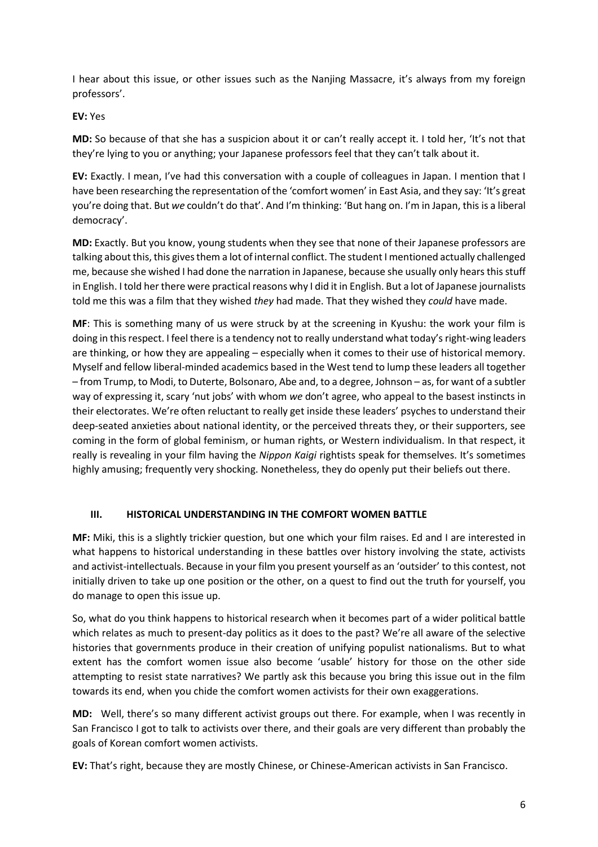I hear about this issue, or other issues such as the Nanjing Massacre, it's always from my foreign professors'.

# **EV:** Yes

**MD:** So because of that she has a suspicion about it or can't really accept it. I told her, 'It's not that they're lying to you or anything; your Japanese professors feel that they can't talk about it.

**EV:** Exactly. I mean, I've had this conversation with a couple of colleagues in Japan. I mention that I have been researching the representation of the 'comfort women' in East Asia, and they say: 'It's great you're doing that. But *we* couldn't do that'. And I'm thinking: 'But hang on. I'm in Japan, this is a liberal democracy'.

**MD:** Exactly. But you know, young students when they see that none of their Japanese professors are talking about this, this gives them a lot of internal conflict. The student I mentioned actually challenged me, because she wished I had done the narration in Japanese, because she usually only hears this stuff in English. I told her there were practical reasons why I did it in English. But a lot of Japanese journalists told me this was a film that they wished *they* had made. That they wished they *could* have made.

**MF**: This is something many of us were struck by at the screening in Kyushu: the work your film is doing in this respect. I feel there is a tendency not to really understand what today's right-wing leaders are thinking, or how they are appealing – especially when it comes to their use of historical memory. Myself and fellow liberal-minded academics based in the West tend to lump these leaders all together – from Trump, to Modi, to Duterte, Bolsonaro, Abe and, to a degree, Johnson – as, for want of a subtler way of expressing it, scary 'nut jobs' with whom *we* don't agree, who appeal to the basest instincts in their electorates. We're often reluctant to really get inside these leaders' psyches to understand their deep-seated anxieties about national identity, or the perceived threats they, or their supporters, see coming in the form of global feminism, or human rights, or Western individualism. In that respect, it really is revealing in your film having the *Nippon Kaigi* rightists speak for themselves. It's sometimes highly amusing; frequently very shocking. Nonetheless, they do openly put their beliefs out there.

# **III. HISTORICAL UNDERSTANDING IN THE COMFORT WOMEN BATTLE**

**MF:** Miki, this is a slightly trickier question, but one which your film raises. Ed and I are interested in what happens to historical understanding in these battles over history involving the state, activists and activist-intellectuals. Because in your film you present yourself as an 'outsider' to this contest, not initially driven to take up one position or the other, on a quest to find out the truth for yourself, you do manage to open this issue up.

So, what do you think happens to historical research when it becomes part of a wider political battle which relates as much to present-day politics as it does to the past? We're all aware of the selective histories that governments produce in their creation of unifying populist nationalisms. But to what extent has the comfort women issue also become 'usable' history for those on the other side attempting to resist state narratives? We partly ask this because you bring this issue out in the film towards its end, when you chide the comfort women activists for their own exaggerations.

**MD:** Well, there's so many different activist groups out there. For example, when I was recently in San Francisco I got to talk to activists over there, and their goals are very different than probably the goals of Korean comfort women activists.

**EV:** That's right, because they are mostly Chinese, or Chinese-American activists in San Francisco.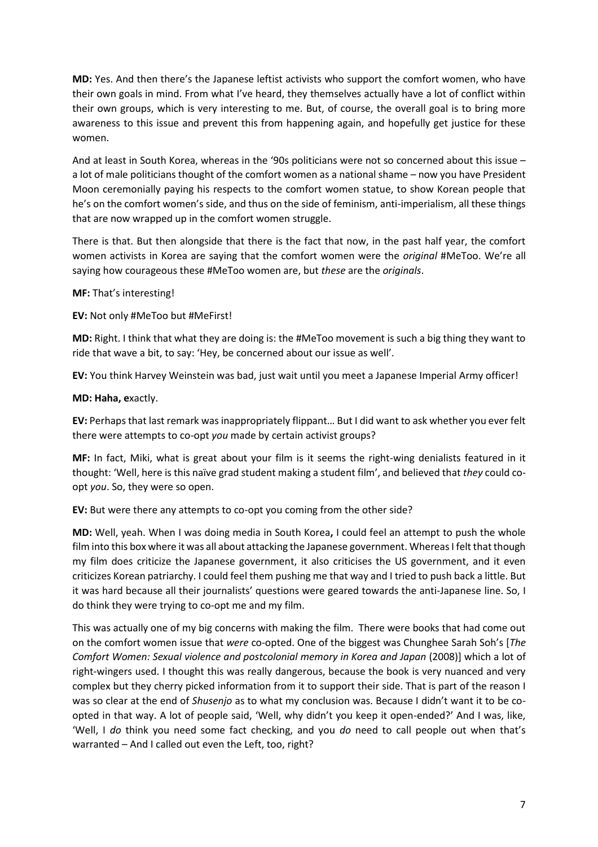**MD:** Yes. And then there's the Japanese leftist activists who support the comfort women, who have their own goals in mind. From what I've heard, they themselves actually have a lot of conflict within their own groups, which is very interesting to me. But, of course, the overall goal is to bring more awareness to this issue and prevent this from happening again, and hopefully get justice for these women.

And at least in South Korea, whereas in the '90s politicians were not so concerned about this issue – a lot of male politicians thought of the comfort women as a national shame – now you have President Moon ceremonially paying his respects to the comfort women statue, to show Korean people that he's on the comfort women's side, and thus on the side of feminism, anti-imperialism, all these things that are now wrapped up in the comfort women struggle.

There is that. But then alongside that there is the fact that now, in the past half year, the comfort women activists in Korea are saying that the comfort women were the *original* #MeToo. We're all saying how courageous these #MeToo women are, but *these* are the *originals*.

**MF:** That's interesting!

**EV:** Not only #MeToo but #MeFirst!

**MD:** Right. I think that what they are doing is: the #MeToo movement is such a big thing they want to ride that wave a bit, to say: 'Hey, be concerned about our issue as well'.

**EV:** You think Harvey Weinstein was bad, just wait until you meet a Japanese Imperial Army officer!

#### **MD: Haha, e**xactly.

**EV:** Perhaps that last remark was inappropriately flippant… But I did want to ask whether you ever felt there were attempts to co-opt *you* made by certain activist groups?

**MF:** In fact, Miki, what is great about your film is it seems the right-wing denialists featured in it thought: 'Well, here is this naïve grad student making a student film', and believed that *they* could coopt *you*. So, they were so open.

**EV:** But were there any attempts to co-opt you coming from the other side?

**MD:** Well, yeah. When I was doing media in South Korea**,** I could feel an attempt to push the whole film into this box where it was all about attacking the Japanese government. Whereas I felt that though my film does criticize the Japanese government, it also criticises the US government, and it even criticizes Korean patriarchy. I could feel them pushing me that way and I tried to push back a little. But it was hard because all their journalists' questions were geared towards the anti-Japanese line. So, I do think they were trying to co-opt me and my film.

This was actually one of my big concerns with making the film. There were books that had come out on the comfort women issue that *were* co-opted. One of the biggest was Chunghee Sarah Soh's [*The Comfort Women: Sexual violence and postcolonial memory in Korea and Japan* (2008)] which a lot of right-wingers used. I thought this was really dangerous, because the book is very nuanced and very complex but they cherry picked information from it to support their side. That is part of the reason I was so clear at the end of *Shusenjo* as to what my conclusion was. Because I didn't want it to be coopted in that way. A lot of people said, 'Well, why didn't you keep it open-ended?' And I was, like, 'Well, I *do* think you need some fact checking, and you *do* need to call people out when that's warranted – And I called out even the Left, too, right?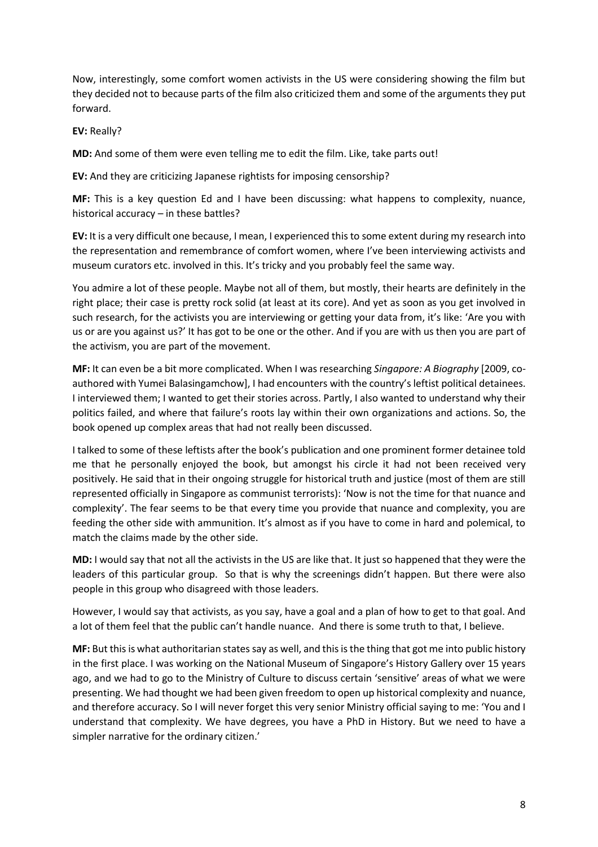Now, interestingly, some comfort women activists in the US were considering showing the film but they decided not to because parts of the film also criticized them and some of the arguments they put forward.

**EV:** Really?

**MD:** And some of them were even telling me to edit the film. Like, take parts out!

**EV:** And they are criticizing Japanese rightists for imposing censorship?

**MF:** This is a key question Ed and I have been discussing: what happens to complexity, nuance, historical accuracy – in these battles?

**EV:** It is a very difficult one because, I mean, I experienced this to some extent during my research into the representation and remembrance of comfort women, where I've been interviewing activists and museum curators etc. involved in this. It's tricky and you probably feel the same way.

You admire a lot of these people. Maybe not all of them, but mostly, their hearts are definitely in the right place; their case is pretty rock solid (at least at its core). And yet as soon as you get involved in such research, for the activists you are interviewing or getting your data from, it's like: 'Are you with us or are you against us?' It has got to be one or the other. And if you are with us then you are part of the activism, you are part of the movement.

**MF:** It can even be a bit more complicated. When I was researching *Singapore: A Biography* [2009, coauthored with Yumei Balasingamchow], I had encounters with the country's leftist political detainees. I interviewed them; I wanted to get their stories across. Partly, I also wanted to understand why their politics failed, and where that failure's roots lay within their own organizations and actions. So, the book opened up complex areas that had not really been discussed.

I talked to some of these leftists after the book's publication and one prominent former detainee told me that he personally enjoyed the book, but amongst his circle it had not been received very positively. He said that in their ongoing struggle for historical truth and justice (most of them are still represented officially in Singapore as communist terrorists): 'Now is not the time for that nuance and complexity'. The fear seems to be that every time you provide that nuance and complexity, you are feeding the other side with ammunition. It's almost as if you have to come in hard and polemical, to match the claims made by the other side.

**MD:** I would say that not all the activists in the US are like that. It just so happened that they were the leaders of this particular group. So that is why the screenings didn't happen. But there were also people in this group who disagreed with those leaders.

However, I would say that activists, as you say, have a goal and a plan of how to get to that goal. And a lot of them feel that the public can't handle nuance. And there is some truth to that, I believe.

**MF:** But this is what authoritarian states say as well, and this is the thing that got me into public history in the first place. I was working on the National Museum of Singapore's History Gallery over 15 years ago, and we had to go to the Ministry of Culture to discuss certain 'sensitive' areas of what we were presenting. We had thought we had been given freedom to open up historical complexity and nuance, and therefore accuracy. So I will never forget this very senior Ministry official saying to me: 'You and I understand that complexity. We have degrees, you have a PhD in History. But we need to have a simpler narrative for the ordinary citizen.'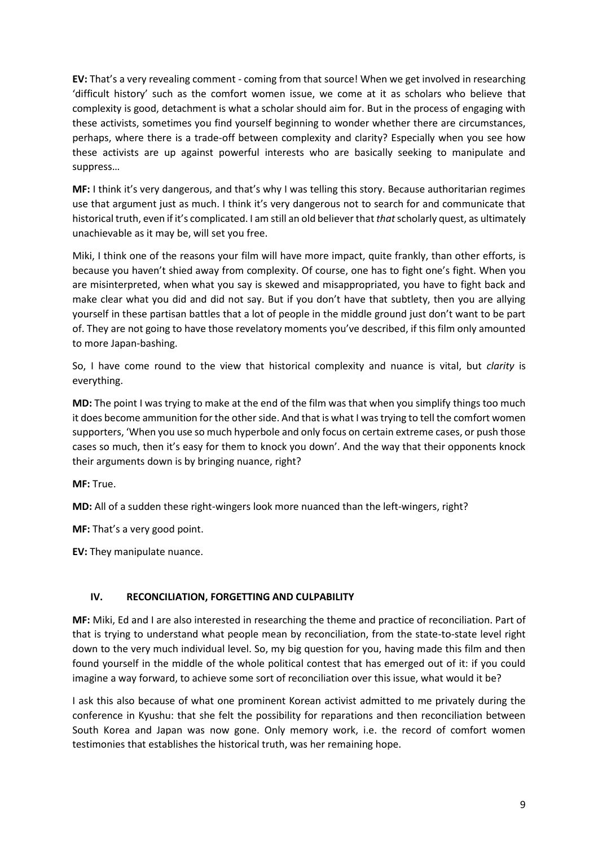**EV:** That's a very revealing comment - coming from that source! When we get involved in researching 'difficult history' such as the comfort women issue, we come at it as scholars who believe that complexity is good, detachment is what a scholar should aim for. But in the process of engaging with these activists, sometimes you find yourself beginning to wonder whether there are circumstances, perhaps, where there is a trade-off between complexity and clarity? Especially when you see how these activists are up against powerful interests who are basically seeking to manipulate and suppress…

**MF:** I think it's very dangerous, and that's why I was telling this story. Because authoritarian regimes use that argument just as much. I think it's very dangerous not to search for and communicate that historical truth, even if it's complicated. I am still an old believer that *that*scholarly quest, as ultimately unachievable as it may be, will set you free.

Miki, I think one of the reasons your film will have more impact, quite frankly, than other efforts, is because you haven't shied away from complexity. Of course, one has to fight one's fight. When you are misinterpreted, when what you say is skewed and misappropriated, you have to fight back and make clear what you did and did not say. But if you don't have that subtlety, then you are allying yourself in these partisan battles that a lot of people in the middle ground just don't want to be part of. They are not going to have those revelatory moments you've described, if this film only amounted to more Japan-bashing.

So, I have come round to the view that historical complexity and nuance is vital, but *clarity* is everything.

**MD:** The point I was trying to make at the end of the film was that when you simplify things too much it does become ammunition for the other side. And that is what I was trying to tell the comfort women supporters, 'When you use so much hyperbole and only focus on certain extreme cases, or push those cases so much, then it's easy for them to knock you down'. And the way that their opponents knock their arguments down is by bringing nuance, right?

**MF:** True.

**MD:** All of a sudden these right-wingers look more nuanced than the left-wingers, right?

**MF:** That's a very good point.

**EV:** They manipulate nuance.

# **IV. RECONCILIATION, FORGETTING AND CULPABILITY**

**MF:** Miki, Ed and I are also interested in researching the theme and practice of reconciliation. Part of that is trying to understand what people mean by reconciliation, from the state-to-state level right down to the very much individual level. So, my big question for you, having made this film and then found yourself in the middle of the whole political contest that has emerged out of it: if you could imagine a way forward, to achieve some sort of reconciliation over this issue, what would it be?

I ask this also because of what one prominent Korean activist admitted to me privately during the conference in Kyushu: that she felt the possibility for reparations and then reconciliation between South Korea and Japan was now gone. Only memory work, i.e. the record of comfort women testimonies that establishes the historical truth, was her remaining hope.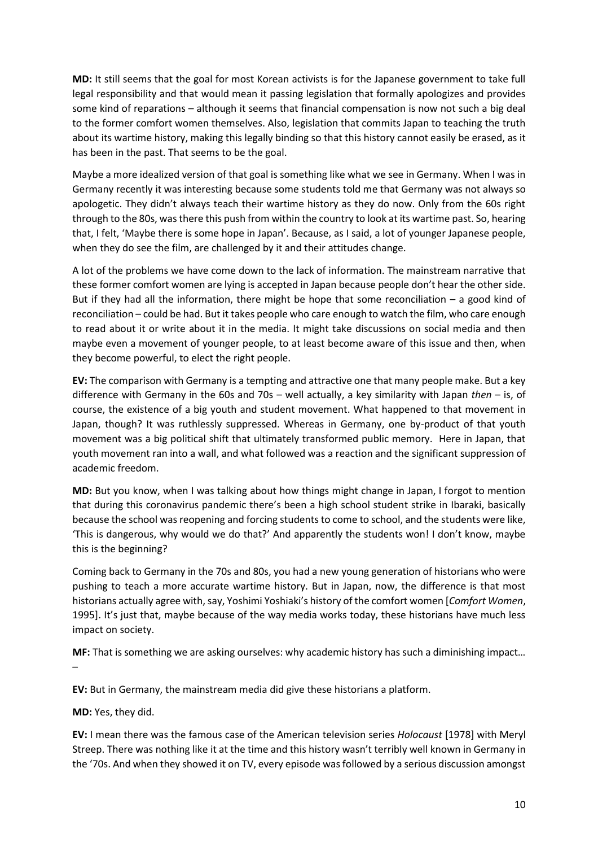**MD:** It still seems that the goal for most Korean activists is for the Japanese government to take full legal responsibility and that would mean it passing legislation that formally apologizes and provides some kind of reparations – although it seems that financial compensation is now not such a big deal to the former comfort women themselves. Also, legislation that commits Japan to teaching the truth about its wartime history, making this legally binding so that this history cannot easily be erased, as it has been in the past. That seems to be the goal.

Maybe a more idealized version of that goal is something like what we see in Germany. When I was in Germany recently it was interesting because some students told me that Germany was not always so apologetic. They didn't always teach their wartime history as they do now. Only from the 60s right through to the 80s, was there this push from within the country to look at its wartime past. So, hearing that, I felt, 'Maybe there is some hope in Japan'. Because, as I said, a lot of younger Japanese people, when they do see the film, are challenged by it and their attitudes change.

A lot of the problems we have come down to the lack of information. The mainstream narrative that these former comfort women are lying is accepted in Japan because people don't hear the other side. But if they had all the information, there might be hope that some reconciliation – a good kind of reconciliation – could be had. But it takes people who care enough to watch the film, who care enough to read about it or write about it in the media. It might take discussions on social media and then maybe even a movement of younger people, to at least become aware of this issue and then, when they become powerful, to elect the right people.

**EV:** The comparison with Germany is a tempting and attractive one that many people make. But a key difference with Germany in the 60s and 70s – well actually, a key similarity with Japan *then* – is, of course, the existence of a big youth and student movement. What happened to that movement in Japan, though? It was ruthlessly suppressed. Whereas in Germany, one by-product of that youth movement was a big political shift that ultimately transformed public memory. Here in Japan, that youth movement ran into a wall, and what followed was a reaction and the significant suppression of academic freedom.

**MD:** But you know, when I was talking about how things might change in Japan, I forgot to mention that during this coronavirus pandemic there's been a high school student strike in Ibaraki, basically because the school was reopening and forcing students to come to school, and the students were like, 'This is dangerous, why would we do that?' And apparently the students won! I don't know, maybe this is the beginning?

Coming back to Germany in the 70s and 80s, you had a new young generation of historians who were pushing to teach a more accurate wartime history. But in Japan, now, the difference is that most historians actually agree with, say, Yoshimi Yoshiaki's history of the comfort women [*Comfort Women*, 1995]. It's just that, maybe because of the way media works today, these historians have much less impact on society.

**MF:** That is something we are asking ourselves: why academic history has such a diminishing impact… –

**EV:** But in Germany, the mainstream media did give these historians a platform.

#### **MD:** Yes, they did.

**EV:** I mean there was the famous case of the American television series *Holocaust* [1978] with Meryl Streep. There was nothing like it at the time and this history wasn't terribly well known in Germany in the '70s. And when they showed it on TV, every episode was followed by a serious discussion amongst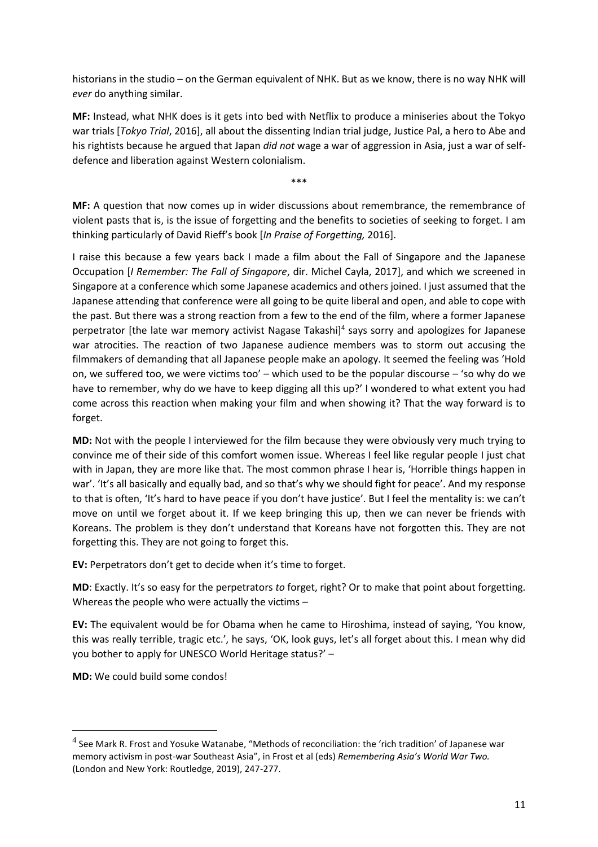historians in the studio – on the German equivalent of NHK. But as we know, there is no way NHK will *ever* do anything similar.

**MF:** Instead, what NHK does is it gets into bed with Netflix to produce a miniseries about the Tokyo war trials [*Tokyo Trial*, 2016], all about the dissenting Indian trial judge, Justice Pal, a hero to Abe and his rightists because he argued that Japan *did not* wage a war of aggression in Asia, just a war of selfdefence and liberation against Western colonialism.

**MF:** A question that now comes up in wider discussions about remembrance, the remembrance of violent pasts that is, is the issue of forgetting and the benefits to societies of seeking to forget. I am thinking particularly of David Rieff's book [*In Praise of Forgetting,* 2016].

\*\*\*

I raise this because a few years back I made a film about the Fall of Singapore and the Japanese Occupation [*I Remember: The Fall of Singapore*, dir. Michel Cayla, 2017], and which we screened in Singapore at a conference which some Japanese academics and others joined. I just assumed that the Japanese attending that conference were all going to be quite liberal and open, and able to cope with the past. But there was a strong reaction from a few to the end of the film, where a former Japanese perpetrator [the late war memory activist Nagase Takashi]<sup>4</sup> says sorry and apologizes for Japanese war atrocities. The reaction of two Japanese audience members was to storm out accusing the filmmakers of demanding that all Japanese people make an apology. It seemed the feeling was 'Hold on, we suffered too, we were victims too' – which used to be the popular discourse – 'so why do we have to remember, why do we have to keep digging all this up?' I wondered to what extent you had come across this reaction when making your film and when showing it? That the way forward is to forget.

**MD:** Not with the people I interviewed for the film because they were obviously very much trying to convince me of their side of this comfort women issue. Whereas I feel like regular people I just chat with in Japan, they are more like that. The most common phrase I hear is, 'Horrible things happen in war'. 'It's all basically and equally bad, and so that's why we should fight for peace'. And my response to that is often, 'It's hard to have peace if you don't have justice'. But I feel the mentality is: we can't move on until we forget about it. If we keep bringing this up, then we can never be friends with Koreans. The problem is they don't understand that Koreans have not forgotten this. They are not forgetting this. They are not going to forget this.

**EV:** Perpetrators don't get to decide when it's time to forget.

**MD**: Exactly. It's so easy for the perpetrators *to* forget, right? Or to make that point about forgetting. Whereas the people who were actually the victims –

**EV:** The equivalent would be for Obama when he came to Hiroshima, instead of saying, 'You know, this was really terrible, tragic etc.', he says, 'OK, look guys, let's all forget about this. I mean why did you bother to apply for UNESCO World Heritage status?' –

**MD:** We could build some condos!

 $^4$  See Mark R. Frost and Yosuke Watanabe, "Methods of reconciliation: the 'rich tradition' of Japanese war memory activism in post-war Southeast Asia", in Frost et al (eds) *Remembering Asia's World War Two.*  (London and New York: Routledge, 2019), 247-277.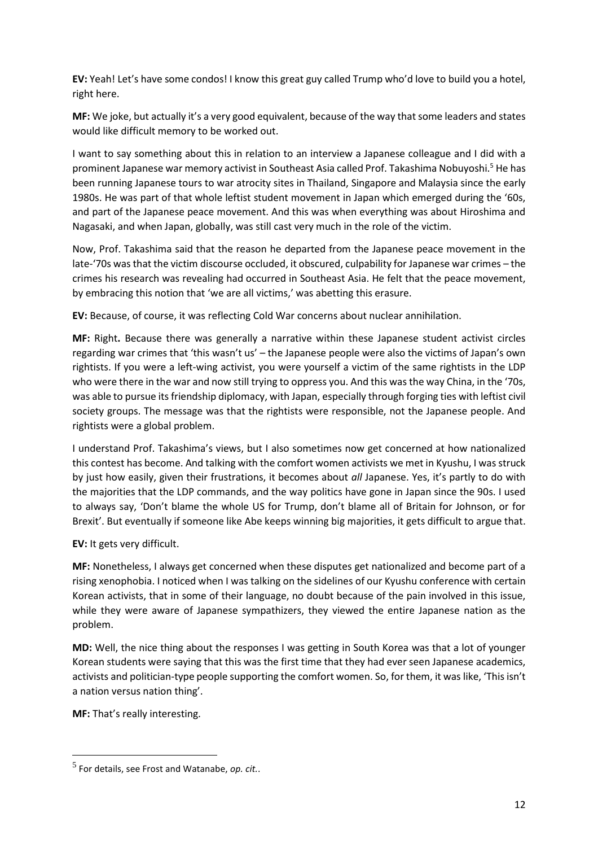**EV:** Yeah! Let's have some condos! I know this great guy called Trump who'd love to build you a hotel, right here.

**MF:** We joke, but actually it's a very good equivalent, because of the way that some leaders and states would like difficult memory to be worked out.

I want to say something about this in relation to an interview a Japanese colleague and I did with a prominent Japanese war memory activist in Southeast Asia called Prof. Takashima Nobuyoshi.<sup>5</sup> He has been running Japanese tours to war atrocity sites in Thailand, Singapore and Malaysia since the early 1980s. He was part of that whole leftist student movement in Japan which emerged during the '60s, and part of the Japanese peace movement. And this was when everything was about Hiroshima and Nagasaki, and when Japan, globally, was still cast very much in the role of the victim.

Now, Prof. Takashima said that the reason he departed from the Japanese peace movement in the late-'70s was that the victim discourse occluded, it obscured, culpability for Japanese war crimes – the crimes his research was revealing had occurred in Southeast Asia. He felt that the peace movement, by embracing this notion that 'we are all victims,' was abetting this erasure.

**EV:** Because, of course, it was reflecting Cold War concerns about nuclear annihilation.

**MF:** Right**.** Because there was generally a narrative within these Japanese student activist circles regarding war crimes that 'this wasn't us' – the Japanese people were also the victims of Japan's own rightists. If you were a left-wing activist, you were yourself a victim of the same rightists in the LDP who were there in the war and now still trying to oppress you. And this was the way China, in the '70s, was able to pursue its friendship diplomacy, with Japan, especially through forging ties with leftist civil society groups. The message was that the rightists were responsible, not the Japanese people. And rightists were a global problem.

I understand Prof. Takashima's views, but I also sometimes now get concerned at how nationalized this contest has become. And talking with the comfort women activists we met in Kyushu, I was struck by just how easily, given their frustrations, it becomes about *all* Japanese. Yes, it's partly to do with the majorities that the LDP commands, and the way politics have gone in Japan since the 90s. I used to always say, 'Don't blame the whole US for Trump, don't blame all of Britain for Johnson, or for Brexit'. But eventually if someone like Abe keeps winning big majorities, it gets difficult to argue that.

**EV:** It gets very difficult.

**MF:** Nonetheless, I always get concerned when these disputes get nationalized and become part of a rising xenophobia. I noticed when I was talking on the sidelines of our Kyushu conference with certain Korean activists, that in some of their language, no doubt because of the pain involved in this issue, while they were aware of Japanese sympathizers, they viewed the entire Japanese nation as the problem.

**MD:** Well, the nice thing about the responses I was getting in South Korea was that a lot of younger Korean students were saying that this was the first time that they had ever seen Japanese academics, activists and politician-type people supporting the comfort women. So, for them, it was like, 'This isn't a nation versus nation thing'.

**MF:** That's really interesting.

<sup>5</sup> For details, see Frost and Watanabe, *op. cit.*.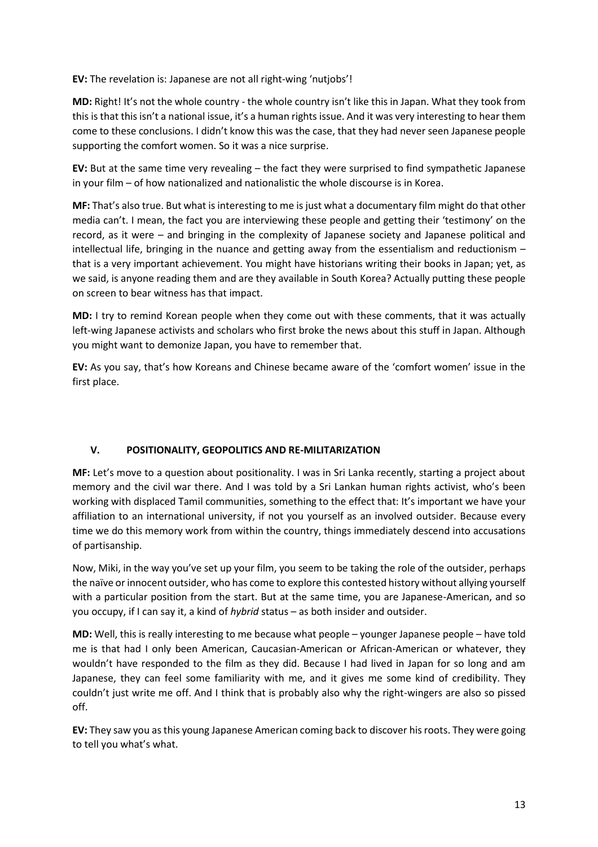**EV:** The revelation is: Japanese are not all right-wing 'nutjobs'!

**MD:** Right! It's not the whole country - the whole country isn't like this in Japan. What they took from this is that this isn't a national issue, it's a human rights issue. And it was very interesting to hear them come to these conclusions. I didn't know this was the case, that they had never seen Japanese people supporting the comfort women. So it was a nice surprise.

**EV:** But at the same time very revealing – the fact they were surprised to find sympathetic Japanese in your film – of how nationalized and nationalistic the whole discourse is in Korea.

**MF:** That's also true. But what is interesting to me is just what a documentary film might do that other media can't. I mean, the fact you are interviewing these people and getting their 'testimony' on the record, as it were – and bringing in the complexity of Japanese society and Japanese political and intellectual life, bringing in the nuance and getting away from the essentialism and reductionism – that is a very important achievement. You might have historians writing their books in Japan; yet, as we said, is anyone reading them and are they available in South Korea? Actually putting these people on screen to bear witness has that impact.

**MD:** I try to remind Korean people when they come out with these comments, that it was actually left-wing Japanese activists and scholars who first broke the news about this stuff in Japan. Although you might want to demonize Japan, you have to remember that.

**EV:** As you say, that's how Koreans and Chinese became aware of the 'comfort women' issue in the first place.

# **V. POSITIONALITY, GEOPOLITICS AND RE-MILITARIZATION**

**MF:** Let's move to a question about positionality. I was in Sri Lanka recently, starting a project about memory and the civil war there. And I was told by a Sri Lankan human rights activist, who's been working with displaced Tamil communities, something to the effect that: It's important we have your affiliation to an international university, if not you yourself as an involved outsider. Because every time we do this memory work from within the country, things immediately descend into accusations of partisanship.

Now, Miki, in the way you've set up your film, you seem to be taking the role of the outsider, perhaps the naïve or innocent outsider, who has come to explore this contested history without allying yourself with a particular position from the start. But at the same time, you are Japanese-American, and so you occupy, if I can say it, a kind of *hybrid* status – as both insider and outsider.

**MD:** Well, this is really interesting to me because what people – younger Japanese people – have told me is that had I only been American, Caucasian-American or African-American or whatever, they wouldn't have responded to the film as they did. Because I had lived in Japan for so long and am Japanese, they can feel some familiarity with me, and it gives me some kind of credibility. They couldn't just write me off. And I think that is probably also why the right-wingers are also so pissed off.

**EV:** They saw you as this young Japanese American coming back to discover his roots. They were going to tell you what's what.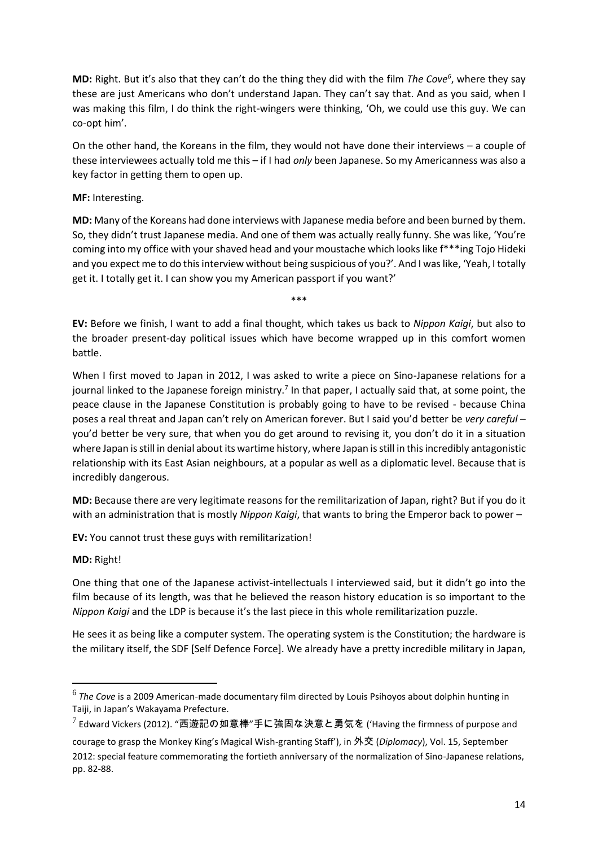**MD:** Right. But it's also that they can't do the thing they did with the film *The Cove<sup>6</sup>* , where they say these are just Americans who don't understand Japan. They can't say that. And as you said, when I was making this film, I do think the right-wingers were thinking, 'Oh, we could use this guy. We can co-opt him'.

On the other hand, the Koreans in the film, they would not have done their interviews – a couple of these interviewees actually told me this – if I had *only* been Japanese. So my Americanness was also a key factor in getting them to open up.

**MF:** Interesting.

**MD:** Many of the Koreans had done interviews with Japanese media before and been burned by them. So, they didn't trust Japanese media. And one of them was actually really funny. She was like, 'You're coming into my office with your shaved head and your moustache which looks like  $f^{***}$ ing Tojo Hideki and you expect me to do this interview without being suspicious of you?'. And I was like, 'Yeah, I totally get it. I totally get it. I can show you my American passport if you want?'

\*\*\*

**EV:** Before we finish, I want to add a final thought, which takes us back to *Nippon Kaigi*, but also to the broader present-day political issues which have become wrapped up in this comfort women battle.

When I first moved to Japan in 2012, I was asked to write a piece on Sino-Japanese relations for a journal linked to the Japanese foreign ministry.<sup>7</sup> In that paper, I actually said that, at some point, the peace clause in the Japanese Constitution is probably going to have to be revised - because China poses a real threat and Japan can't rely on American forever. But I said you'd better be *very careful* – you'd better be very sure, that when you do get around to revising it, you don't do it in a situation where Japan is still in denial about its wartime history, where Japan is still in this incredibly antagonistic relationship with its East Asian neighbours, at a popular as well as a diplomatic level. Because that is incredibly dangerous.

**MD:** Because there are very legitimate reasons for the remilitarization of Japan, right? But if you do it with an administration that is mostly *Nippon Kaigi*, that wants to bring the Emperor back to power –

**EV:** You cannot trust these guys with remilitarization!

**MD:** Right!

One thing that one of the Japanese activist-intellectuals I interviewed said, but it didn't go into the film because of its length, was that he believed the reason history education is so important to the *Nippon Kaigi* and the LDP is because it's the last piece in this whole remilitarization puzzle.

He sees it as being like a computer system. The operating system is the Constitution; the hardware is the military itself, the SDF [Self Defence Force]. We already have a pretty incredible military in Japan,

<sup>6</sup> *The Cove* is a 2009 American-made documentary film directed by Louis Psihoyos about dolphin hunting in Taiji, in Japan's Wakayama Prefecture.

 $^7$  Edward Vickers (2012). "西遊記の如意棒"手に強固な決意と勇気を ('Having the firmness of purpose and

courage to grasp the Monkey King's Magical Wish-granting Staff'), in 外交 (*Diplomacy*), Vol. 15, September 2012: special feature commemorating the fortieth anniversary of the normalization of Sino-Japanese relations, pp. 82-88.